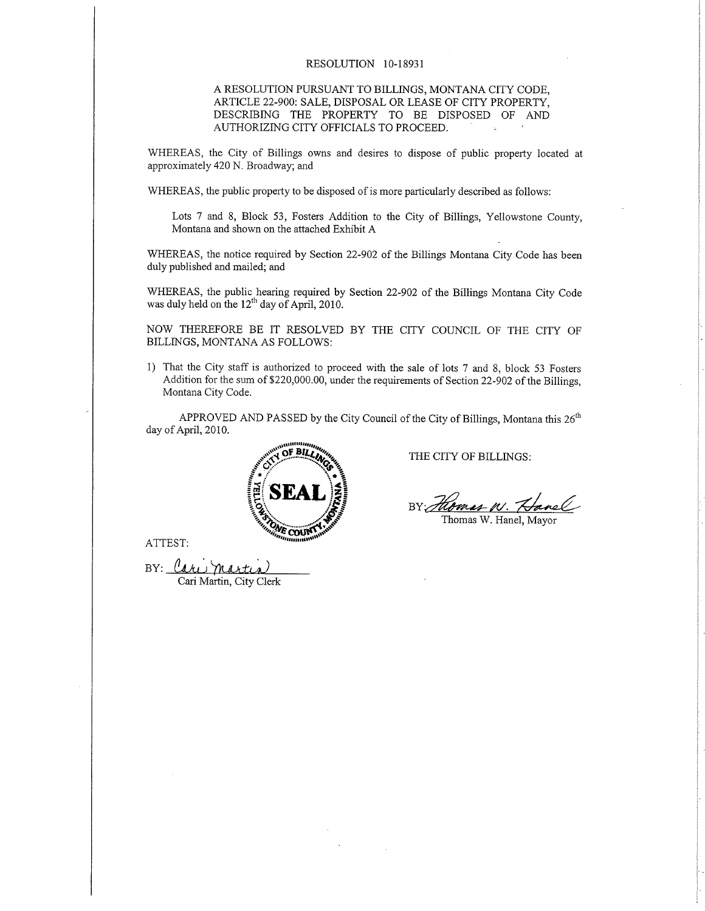## RESOLUTION IO-18931

## A RESOLUTION PURSUANT TO BILLINGS, MONTANA CITY CODE, ARTICLE 22-900: SALE, DISPOSAL OR LEASE OF CITY PROPERTY, DESCRIBING THE PROPERTY TO BE DISPOSED OF AND AUTHORIZING CITY OFFICIALS TO PROCEED.

WHEREAS, the City of Billings owns and desires to dispose of public property located at approximately 420 N. Broadway; and

WHEREAS, the public property to be disposed of is more particularly described as follows:

Lots 7 and 8, Block 53, Fosters Addition to the City of Billings, Yeliowstone County, Montana and shown on the attached Exhibit A

WHEREAS, the notice required by Section 22-902 of the Billings Montana City Code has been duly published and mailed; and

WHEREAS, the public hearing required by Section 22-902 of the Billings Montana City Code was duly held on the  $12<sup>th</sup>$  day of April, 2010.

NOW THEREFORE BE IT RESOLVED BY THE CITY COUNCIL OF THE CITY OF BILLINGS, MONTANA AS FOLLOWS:

1) That the City staff is authorized to proceed with the sale of lots 7 and 8, block 53 Fosters Addition for the sum of \$220,000.00, under the requirements of Section 22-902 of the Billings, Montana City Code.

APPROVED AND PASSED by the City Council of the City of Billings, Montana this  $26<sup>th</sup>$ day of April, 2010.



THE CITY OF BILLINGS:

BY: Homes W. Hanel

ATTEST:

 $BY:$   $\mathcal{U}_d$ Cari Martin, City Clerk